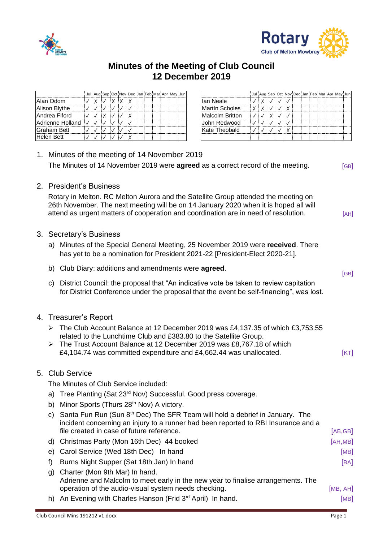



## **Minutes of the Meeting of Club Council 12 December 2019**

|                  |  |  | Jul Aug Sep Oct Nov Dec Jan Feb Mar Apr May Jun |  |  |  |                        | Jul Aug Sep Oct No |  |   |
|------------------|--|--|-------------------------------------------------|--|--|--|------------------------|--------------------|--|---|
| Alan Odom        |  |  |                                                 |  |  |  | lan Neale              |                    |  |   |
| Alison Blythe    |  |  |                                                 |  |  |  | Martín Scholes         |                    |  | X |
| Andrea Fiford    |  |  |                                                 |  |  |  | <b>Malcolm Britton</b> |                    |  |   |
| Adrienne Holland |  |  |                                                 |  |  |  | John Redwood           |                    |  |   |
| Graham Bett      |  |  |                                                 |  |  |  | Kate Theobald          |                    |  |   |
| Helen Bett       |  |  |                                                 |  |  |  |                        |                    |  |   |

|  |   |  |  |  | Jul Aug Sep Oct Nov Dec Jan Feb Mar Apr May Jun |                        |              | Jul Aug Sep Oct Nov Dec Jan Feb Mar Apr May Jun |  |  |  |  |  |
|--|---|--|--|--|-------------------------------------------------|------------------------|--------------|-------------------------------------------------|--|--|--|--|--|
|  | X |  |  |  |                                                 | Ian Neale              |              |                                                 |  |  |  |  |  |
|  |   |  |  |  |                                                 | <b>Martín Scholes</b>  | $\checkmark$ |                                                 |  |  |  |  |  |
|  |   |  |  |  |                                                 | <b>Malcolm Britton</b> |              |                                                 |  |  |  |  |  |
|  |   |  |  |  |                                                 | John Redwood           |              |                                                 |  |  |  |  |  |
|  |   |  |  |  |                                                 | Kate Theobald          |              |                                                 |  |  |  |  |  |
|  |   |  |  |  |                                                 |                        |              |                                                 |  |  |  |  |  |

| 1. Minutes of the meeting of 14 November 2019                                          |                                                                                                                                                                                                                                                                                                  |          |  |  |  |  |  |
|----------------------------------------------------------------------------------------|--------------------------------------------------------------------------------------------------------------------------------------------------------------------------------------------------------------------------------------------------------------------------------------------------|----------|--|--|--|--|--|
| The Minutes of 14 November 2019 were <b>agreed</b> as a correct record of the meeting. |                                                                                                                                                                                                                                                                                                  |          |  |  |  |  |  |
| 2. President's Business                                                                |                                                                                                                                                                                                                                                                                                  |          |  |  |  |  |  |
|                                                                                        | Rotary in Melton. RC Melton Aurora and the Satellite Group attended the meeting on<br>26th November. The next meeting will be on 14 January 2020 when it is hoped all will<br>attend as urgent matters of cooperation and coordination are in need of resolution.                                | [AH]     |  |  |  |  |  |
|                                                                                        | 3. Secretary's Business                                                                                                                                                                                                                                                                          |          |  |  |  |  |  |
|                                                                                        | a) Minutes of the Special General Meeting, 25 November 2019 were received. There<br>has yet to be a nomination for President 2021-22 [President-Elect 2020-21].                                                                                                                                  |          |  |  |  |  |  |
|                                                                                        | b) Club Diary: additions and amendments were agreed.                                                                                                                                                                                                                                             | [GB]     |  |  |  |  |  |
| C)                                                                                     | District Council: the proposal that "An indicative vote be taken to review capitation<br>for District Conference under the proposal that the event be self-financing", was lost.                                                                                                                 |          |  |  |  |  |  |
|                                                                                        | 4. Treasurer's Report                                                                                                                                                                                                                                                                            |          |  |  |  |  |  |
|                                                                                        | The Club Account Balance at 12 December 2019 was £4,137.35 of which £3,753.55<br>related to the Lunchtime Club and £383.80 to the Satellite Group.<br>The Trust Account Balance at 12 December 2019 was £8,767.18 of which<br>£4,104.74 was committed expenditure and £4,662.44 was unallocated. | [KT]     |  |  |  |  |  |
|                                                                                        | 5. Club Service                                                                                                                                                                                                                                                                                  |          |  |  |  |  |  |
|                                                                                        | The Minutes of Club Service included:                                                                                                                                                                                                                                                            |          |  |  |  |  |  |
|                                                                                        | a) Tree Planting (Sat 23 <sup>rd</sup> Nov) Successful. Good press coverage.                                                                                                                                                                                                                     |          |  |  |  |  |  |
|                                                                                        | b) Minor Sports (Thurs 28 <sup>th</sup> Nov) A victory.                                                                                                                                                                                                                                          |          |  |  |  |  |  |
| C)                                                                                     | Santa Fun Run (Sun 8th Dec) The SFR Team will hold a debrief in January. The<br>incident concerning an injury to a runner had been reported to RBI Insurance and a<br>file created in case of future reference.                                                                                  | [AB, GB] |  |  |  |  |  |
| a)                                                                                     | Christmas Party (Mon 16th Dec) 44 booked                                                                                                                                                                                                                                                         | [AH, MB] |  |  |  |  |  |
| e)                                                                                     | Carol Service (Wed 18th Dec) In hand                                                                                                                                                                                                                                                             | [MB]     |  |  |  |  |  |
| f)                                                                                     | Burns Night Supper (Sat 18th Jan) In hand                                                                                                                                                                                                                                                        | [BA]     |  |  |  |  |  |
| g)                                                                                     | Charter (Mon 9th Mar) In hand.<br>Adrienne and Malcolm to meet early in the new year to finalise arrangements. The<br>operation of the audio-visual system needs checking.                                                                                                                       | [MB, AH] |  |  |  |  |  |
| h)                                                                                     | An Evening with Charles Hanson (Frid 3rd April) In hand.                                                                                                                                                                                                                                         | [MB]     |  |  |  |  |  |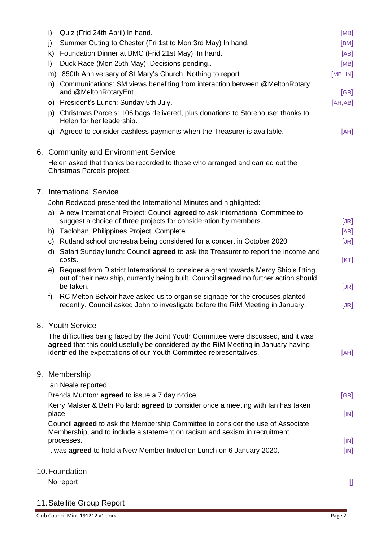| i)      | Quiz (Frid 24th April) In hand.                                                                                                                                                                                                                   | [MB]     |
|---------|---------------------------------------------------------------------------------------------------------------------------------------------------------------------------------------------------------------------------------------------------|----------|
| j)      | Summer Outing to Chester (Fri 1st to Mon 3rd May) In hand.                                                                                                                                                                                        | [BM]     |
|         | k) Foundation Dinner at BMC (Frid 21st May) In hand.                                                                                                                                                                                              | [AB]     |
| $\vert$ | Duck Race (Mon 25th May) Decisions pending                                                                                                                                                                                                        | [MB]     |
|         | m) 850th Anniversary of St Mary's Church. Nothing to report                                                                                                                                                                                       | [MB, IN] |
|         | n) Communications: SM views benefiting from interaction between @MeltonRotary<br>and @MeltonRotaryEnt.                                                                                                                                            | [GB]     |
|         | o) President's Lunch: Sunday 5th July.                                                                                                                                                                                                            | [AH,AB]  |
|         | p) Christmas Parcels: 106 bags delivered, plus donations to Storehouse; thanks to<br>Helen for her leadership.                                                                                                                                    |          |
|         | q) Agreed to consider cashless payments when the Treasurer is available.                                                                                                                                                                          | [AH]     |
|         | 6. Community and Environment Service                                                                                                                                                                                                              |          |
|         | Helen asked that thanks be recorded to those who arranged and carried out the<br>Christmas Parcels project.                                                                                                                                       |          |
|         | 7. International Service                                                                                                                                                                                                                          |          |
|         | John Redwood presented the International Minutes and highlighted:                                                                                                                                                                                 |          |
|         | a) A new International Project: Council agreed to ask International Committee to<br>suggest a choice of three projects for consideration by members.                                                                                              | [JR]     |
|         | b) Tacloban, Philippines Project: Complete                                                                                                                                                                                                        | [AB]     |
|         | c) Rutland school orchestra being considered for a concert in October 2020                                                                                                                                                                        | [JR]     |
|         | d) Safari Sunday lunch: Council agreed to ask the Treasurer to report the income and<br>costs.                                                                                                                                                    | [KT]     |
| e)      | Request from District International to consider a grant towards Mercy Ship's fitting<br>out of their new ship, currently being built. Council agreed no further action should<br>be taken.                                                        | [JR]     |
| f)      | RC Melton Belvoir have asked us to organise signage for the crocuses planted<br>recently. Council asked John to investigate before the RIM Meeting in January.                                                                                    | [JR]     |
|         | 8. Youth Service                                                                                                                                                                                                                                  |          |
|         | The difficulties being faced by the Joint Youth Committee were discussed, and it was<br>agreed that this could usefully be considered by the RIM Meeting in January having<br>identified the expectations of our Youth Committee representatives. | [AH]     |
|         | 9. Membership                                                                                                                                                                                                                                     |          |
|         | Ian Neale reported:                                                                                                                                                                                                                               |          |
|         | Brenda Munton: agreed to issue a 7 day notice                                                                                                                                                                                                     | [GB]     |
| place.  | Kerry Malster & Beth Pollard: <b>agreed</b> to consider once a meeting with lan has taken                                                                                                                                                         | [IN]     |
|         | Council agreed to ask the Membership Committee to consider the use of Associate<br>Membership, and to include a statement on racism and sexism in recruitment<br>processes.                                                                       | [IN]     |
|         | It was agreed to hold a New Member Induction Lunch on 6 January 2020.                                                                                                                                                                             | [IN]     |
|         | 10. Foundation                                                                                                                                                                                                                                    |          |
|         | No report                                                                                                                                                                                                                                         |          |